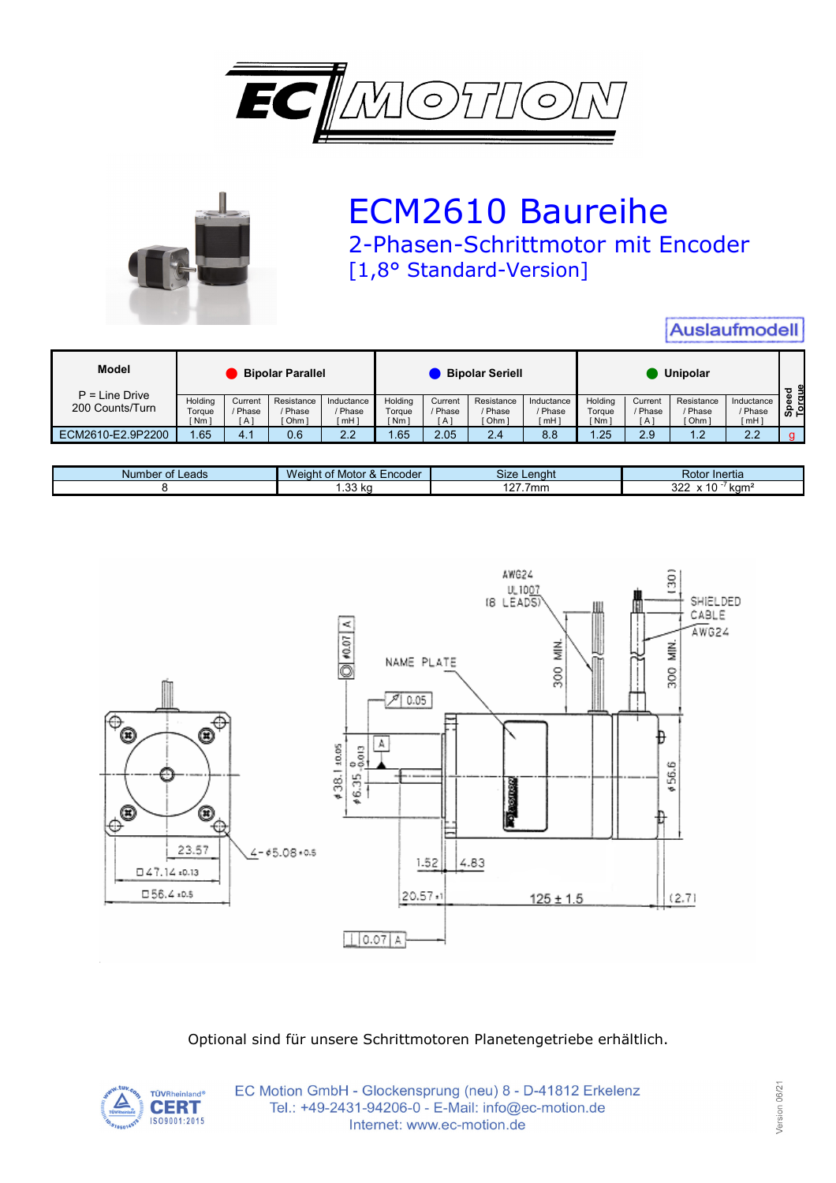



## ECM2610 Baureihe 2-Phasen-Schrittmotor mit Encoder [1,8° Standard-Version]

| <b>Auslaufmodell</b>                |                             |                         |                                |                                          |                                      |                           |                                |                                |                            |                           |                                  |                                |                 |
|-------------------------------------|-----------------------------|-------------------------|--------------------------------|------------------------------------------|--------------------------------------|---------------------------|--------------------------------|--------------------------------|----------------------------|---------------------------|----------------------------------|--------------------------------|-----------------|
| Model                               | <b>Bipolar Parallel</b>     |                         |                                | <b>Bipolar Seriell</b>                   |                                      |                           | Unipolar                       |                                |                            |                           |                                  |                                |                 |
| $P = Line$ Drive<br>200 Counts/Turn | Holding<br>Torque<br>' Nm ì | Current<br>/ Phase<br>A | Resistance<br>/ Phase<br>Ohm 1 | Inductance<br>/ Phase<br>mH <sub>1</sub> | Holdina<br>Toraue<br>Nm <sub>1</sub> | Current<br>/ Phase<br>[A] | Resistance<br>/ Phase<br>[Ohm] | Inductance<br>/ Phase<br>⊺mH ] | Holding<br>Toraue<br>`Nm ì | Current<br>/ Phase<br>IA1 | Resistance<br>/ Phase<br>[ Ohm ] | Inductance<br>/ Phase<br>`mH ] | Speed<br>Torque |
| ECM2610-E2.9P2200                   | .65                         | 4.1                     | 0.6                            | 2.2                                      | . 65                                 | 2.05                      | 2.4                            | 8.8                            | .25                        | 2.9                       | $\overline{1.2}$                 | 2.2                            |                 |

| Number of<br>Leads | Weigh.<br>Encoder<br>Motor<br>$\alpha$<br>$\cdot$ | Size<br>_enaht | Rotor Inertia               |
|--------------------|---------------------------------------------------|----------------|-----------------------------|
|                    | 22<br>$\overline{\phantom{a}}$                    | 1077<br>.7mm   | $\sim$<br>lmm<br>ے ے<br>Nui |



Optional sind für unsere Schrittmotoren Planetengetriebe erhältlich.



EC Motion GmbH - Glockensprung (neu) 8 - D-41812 Erkelenz Tel.: +49-2431-94206-0 - E-Mail: info@ec-motion.de Internet: www.ec-motion.de